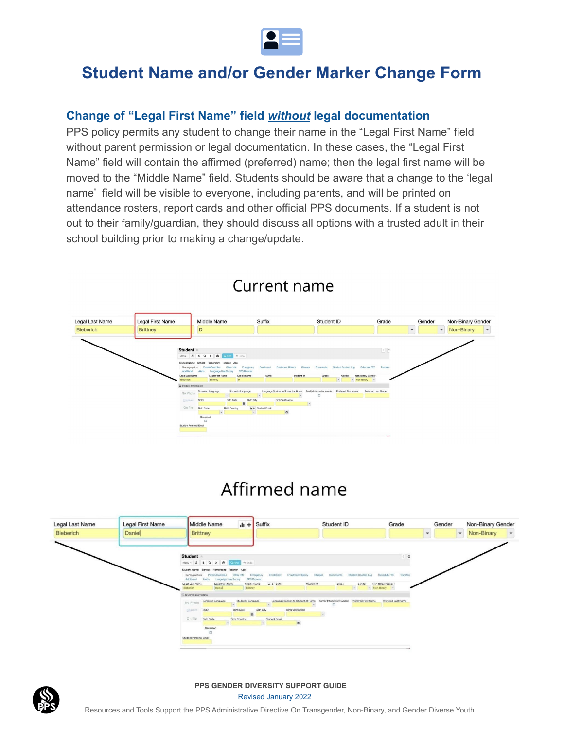

### **Change of "Legal First Name" field** *without* **legal documentation**

PPS policy permits any student to change their name in the "Legal First Name" field without parent permission or legal documentation. In these cases, the "Legal First Name" field will contain the affirmed (preferred) name; then the legal first name will be moved to the "Middle Name" field. Students should be aware that a change to the 'legal name' field will be visible to everyone, including parents, and will be printed on attendance rosters, report cards and other official PPS documents. If a student is not out to their family/guardian, they should discuss all options with a trusted adult in their school building prior to making a change/update.



### Current name

# Affirmed name





#### **PPS GENDER DIVERSITY SUPPORT GUIDE** Revised January 2022

Resources and Tools Support the PPS Administrative Directive On Transgender, Non-Binary, and Gender Diverse Youth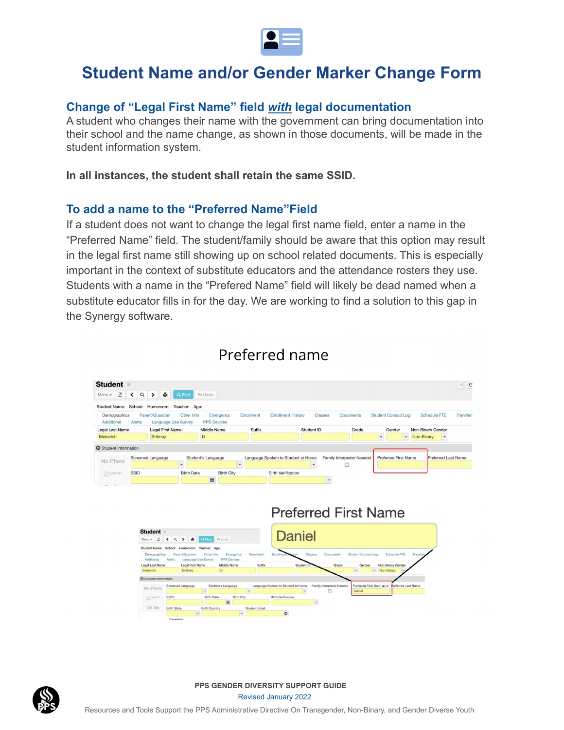

#### **Change of "Legal First Name" field** *with* **legal documentation**

A student who changes their name with the government can bring documentation into their school and the name change, as shown in those documents, will be made in the student information system.

**In all instances, the student shall retain the same SSID.**

#### **To add a name to the "Preferred Name"Field**

If a student does not want to change the legal first name field, enter a name in the "Preferred Name" field. The student/family should be aware that this option may result in the legal first name still showing up on school related documents. This is especially important in the context of substitute educators and the attendance rosters they use. Students with a name in the "Prefered Name" field will likely be dead named when a substitute educator fills in for the day. We are working to find a solution to this gap in the Synergy software.



### Preferred name



**PPS GENDER DIVERSITY SUPPORT GUIDE** Revised January 2022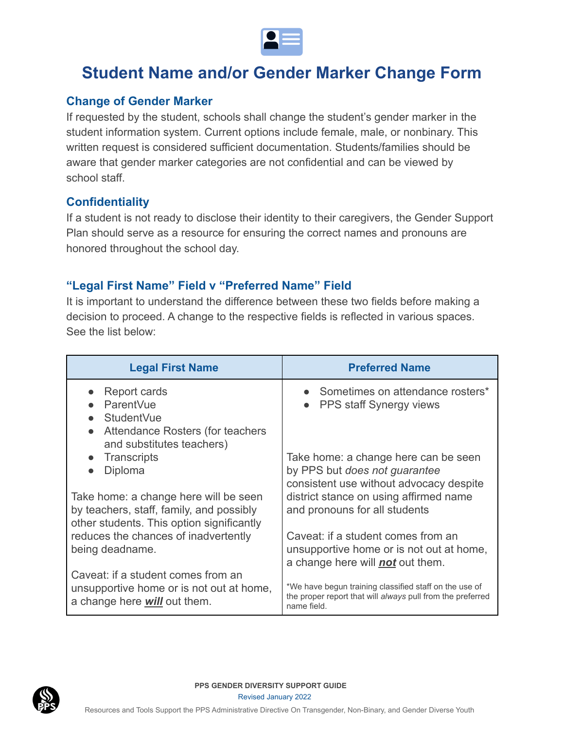

#### **Change of Gender Marker**

If requested by the student, schools shall change the student's gender marker in the student information system. Current options include female, male, or nonbinary. This written request is considered sufficient documentation. Students/families should be aware that gender marker categories are not confidential and can be viewed by school staff.

### **Confidentiality**

If a student is not ready to disclose their identity to their caregivers, the Gender Support Plan should serve as a resource for ensuring the correct names and pronouns are honored throughout the school day.

### **"Legal First Name" Field v "Preferred Name" Field**

It is important to understand the difference between these two fields before making a decision to proceed. A change to the respective fields is reflected in various spaces. See the list below:

| <b>Legal First Name</b>                                                                                                        | <b>Preferred Name</b>                                                                                                               |
|--------------------------------------------------------------------------------------------------------------------------------|-------------------------------------------------------------------------------------------------------------------------------------|
| Report cards<br>ParentVue<br><b>StudentVue</b><br>Attendance Rosters (for teachers<br>$\bullet$<br>and substitutes teachers)   | • Sometimes on attendance rosters*<br><b>PPS staff Synergy views</b>                                                                |
| Transcripts<br>Diploma<br>$\bullet$                                                                                            | Take home: a change here can be seen<br>by PPS but does not guarantee<br>consistent use without advocacy despite                    |
| Take home: a change here will be seen<br>by teachers, staff, family, and possibly<br>other students. This option significantly | district stance on using affirmed name<br>and pronouns for all students                                                             |
| reduces the chances of inadvertently<br>being deadname.                                                                        | Caveat: if a student comes from an<br>unsupportive home or is not out at home,<br>a change here will not out them.                  |
| Caveat: if a student comes from an<br>unsupportive home or is not out at home,<br>a change here <i>will</i> out them.          | *We have begun training classified staff on the use of<br>the proper report that will always pull from the preferred<br>name field. |